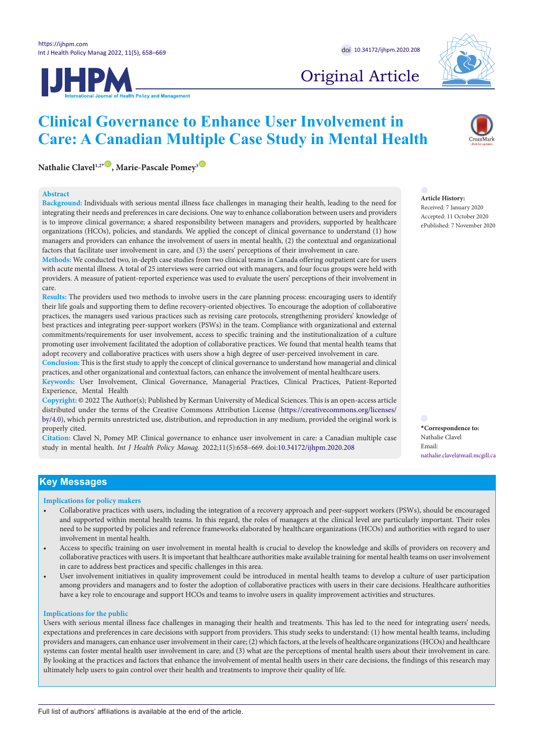**IJHPM** 



# Original Article

## **Nathalie Clavel<sup>1,2[\\*](#page-0-0)</sup><sup>1</sup>, Marie-Pascale Pomey<sup>3</sup><sup><sup>1</sup>**</sup>

#### **Abstract**

**Background:** Individuals with serious mental illness face challenges in managing their health, leading to the need for integrating their needs and preferences in care decisions. One way to enhance collaboration between users and providers is to improve clinical governance; a shared responsibility between managers and providers, supported by healthcare organizations (HCOs), policies, and standards. We applied the concept of clinical governance to understand (1) how managers and providers can enhance the involvement of users in mental health, (2) the contextual and organizational factors that facilitate user involvement in care, and (3) the users' perceptions of their involvement in care.

**Clinical Governance to Enhance User Involvement in** 

**Care: A Canadian Multiple Case Study in Mental Health**

**Methods:** We conducted two, in-depth case studies from two clinical teams in Canada offering outpatient care for users with acute mental illness. A total of 25 interviews were carried out with managers, and four focus groups were held with providers. A measure of patient-reported experience was used to evaluate the users' perceptions of their involvement in care.

**Results:** The providers used two methods to involve users in the care planning process: encouraging users to identify their life goals and supporting them to define recovery-oriented objectives. To encourage the adoption of collaborative practices, the managers used various practices such as revising care protocols, strengthening providers' knowledge of best practices and integrating peer-support workers (PSWs) in the team. Compliance with organizational and external commitments/requirements for user involvement, access to specific training and the institutionalization of a culture promoting user involvement facilitated the adoption of collaborative practices. We found that mental health teams that adopt recovery and collaborative practices with users show a high degree of user-perceived involvement in care.

**Conclusion:** This is the first study to apply the concept of clinical governance to understand how managerial and clinical practices, and other organizational and contextual factors, can enhance the involvement of mental healthcare users.

**Keywords:** User Involvement, Clinical Governance, Managerial Practices, Clinical Practices, Patient-Reported Experience, Mental Health

**Copyright:** © 2022 The Author(s); Published by Kerman University of Medical Sciences. This is an open-access article distributed under the terms of the Creative Commons Attribution License ([https://creativecommons.org/licenses/](http://creativecommons.org/licenses/by/4.0) [by/4.0](http://creativecommons.org/licenses/by/4.0)), which permits unrestricted use, distribution, and reproduction in any medium, provided the original work is properly cited.

**Citation:** Clavel N, Pomey MP. Clinical governance to enhance user involvement in care: a Canadian multiple case study in mental health. *Int J Health Policy Manag.* 2022;11(5):658–669. doi[:10.34172/ijhpm.2020.208](https://doi.org/10.34172/ijhpm.2020.208)

**Article History:**

Received: 7 January 2020 Accepted: 11 October 2020 ePublished: 7 November 2020

<span id="page-0-0"></span>**\*Correspondence to:** Nathalie Clavel Email: nathalie.clavel@mail.mcgill.ca

## **Key Messages**

#### **Implications for policy makers**

- Collaborative practices with users, including the integration of a recovery approach and peer-support workers (PSWs), should be encouraged and supported within mental health teams. In this regard, the roles of managers at the clinical level are particularly important. Their roles need to be supported by policies and reference frameworks elaborated by healthcare organizations (HCOs) and authorities with regard to user involvement in mental health.
- Access to specific training on user involvement in mental health is crucial to develop the knowledge and skills of providers on recovery and collaborative practices with users. It is important that healthcare authorities make available training for mental health teams on user involvement in care to address best practices and specific challenges in this area.
- User involvement initiatives in quality improvement could be introduced in mental health teams to develop a culture of user participation among providers and managers and to foster the adoption of collaborative practices with users in their care decisions. Healthcare authorities have a key role to encourage and support HCOs and teams to involve users in quality improvement activities and structures.

#### **Implications for the public**

Users with serious mental illness face challenges in managing their health and treatments. This has led to the need for integrating users' needs, expectations and preferences in care decisions with support from providers. This study seeks to understand: (1) how mental health teams, including providers and managers, can enhance user involvement in their care; (2) which factors, at the levels of healthcare organizations (HCOs) and healthcare systems can foster mental health user involvement in care; and (3) what are the perceptions of mental health users about their involvement in care. By looking at the practices and factors that enhance the involvement of mental health users in their care decisions, the findings of this research may ultimately help users to gain control over their health and treatments to improve their quality of life.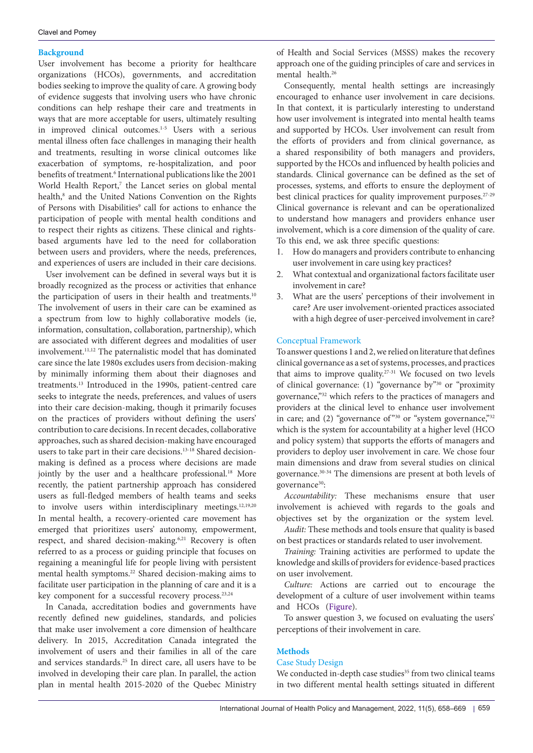#### **Background**

User involvement has become a priority for healthcare organizations (HCOs), governments, and accreditation bodies seeking to improve the quality of care. A growing body of evidence suggests that involving users who have chronic conditions can help reshape their care and treatments in ways that are more acceptable for users, ultimately resulting in improved clinical outcomes.1-5 Users with a serious mental illness often face challenges in managing their health and treatments, resulting in worse clinical outcomes like exacerbation of symptoms, re-hospitalization, and poor benefits of treatment.<sup>6</sup> International publications like the 2001 World Health Report,<sup>7</sup> the Lancet series on global mental health,<sup>8</sup> and the United Nations Convention on the Rights of Persons with Disabilities<sup>9</sup> call for actions to enhance the participation of people with mental health conditions and to respect their rights as citizens. These clinical and rightsbased arguments have led to the need for collaboration between users and providers, where the needs, preferences, and experiences of users are included in their care decisions.

User involvement can be defined in several ways but it is broadly recognized as the process or activities that enhance the participation of users in their health and treatments.<sup>10</sup> The involvement of users in their care can be examined as a spectrum from low to highly collaborative models (ie, information, consultation, collaboration, partnership), which are associated with different degrees and modalities of user involvement.11,12 The paternalistic model that has dominated care since the late 1980s excludes users from decision-making by minimally informing them about their diagnoses and treatments.13 Introduced in the 1990s, patient-centred care seeks to integrate the needs, preferences, and values of users into their care decision-making, though it primarily focuses on the practices of providers without defining the users' contribution to care decisions. In recent decades, collaborative approaches, such as shared decision-making have encouraged users to take part in their care decisions.<sup>13-18</sup> Shared decisionmaking is defined as a process where decisions are made jointly by the user and a healthcare professional.<sup>18</sup> More recently, the patient partnership approach has considered users as full-fledged members of health teams and seeks to involve users within interdisciplinary meetings.<sup>12,19,20</sup> In mental health, a recovery-oriented care movement has emerged that prioritizes users' autonomy, empowerment, respect, and shared decision-making.<sup>6,21</sup> Recovery is often referred to as a process or guiding principle that focuses on regaining a meaningful life for people living with persistent mental health symptoms.<sup>22</sup> Shared decision-making aims to facilitate user participation in the planning of care and it is a key component for a successful recovery process.<sup>23,24</sup>

In Canada, accreditation bodies and governments have recently defined new guidelines, standards, and policies that make user involvement a core dimension of healthcare delivery. In 2015, Accreditation Canada integrated the involvement of users and their families in all of the care and services standards.25 In direct care, all users have to be involved in developing their care plan. In parallel, the action plan in mental health 2015-2020 of the Quebec Ministry of Health and Social Services (MSSS) makes the recovery approach one of the guiding principles of care and services in mental health.<sup>26</sup>

Consequently, mental health settings are increasingly encouraged to enhance user involvement in care decisions. In that context, it is particularly interesting to understand how user involvement is integrated into mental health teams and supported by HCOs. User involvement can result from the efforts of providers and from clinical governance, as a shared responsibility of both managers and providers, supported by the HCOs and influenced by health policies and standards. Clinical governance can be defined as the set of processes, systems, and efforts to ensure the deployment of best clinical practices for quality improvement purposes.<sup>27-29</sup> Clinical governance is relevant and can be operationalized to understand how managers and providers enhance user involvement, which is a core dimension of the quality of care. To this end, we ask three specific questions:

- 1. How do managers and providers contribute to enhancing user involvement in care using key practices?
- 2. What contextual and organizational factors facilitate user involvement in care?
- 3. What are the users' perceptions of their involvement in care? Are user involvement-oriented practices associated with a high degree of user-perceived involvement in care?

#### Conceptual Framework

To answer questions 1 and 2, we relied on literature that defines clinical governance as a set of systems, processes, and practices that aims to improve quality.<sup>27-31</sup> We focused on two levels of clinical governance: (1) "governance by"30 or "proximity governance,"32 which refers to the practices of managers and providers at the clinical level to enhance user involvement in care; and (2) "governance of  $\frac{30}{9}$  or "system governance,"<sup>32</sup> which is the system for accountability at a higher level (HCO and policy system) that supports the efforts of managers and providers to deploy user involvement in care. We chose four main dimensions and draw from several studies on clinical governance.30-34 The dimensions are present at both levels of governance<sup>30</sup>:

*Accountability:* These mechanisms ensure that user involvement is achieved with regards to the goals and objectives set by the organization or the system level.

*Audit:* These methods and tools ensure that quality is based on best practices or standards related to user involvement.

*Training:* Training activities are performed to update the knowledge and skills of providers for evidence-based practices on user involvement.

*Culture:* Actions are carried out to encourage the development of a culture of user involvement within teams and HCOs [\(Figure](#page-2-0)).

To answer question 3, we focused on evaluating the users' perceptions of their involvement in care.

## **Methods**

## Case Study Design

We conducted in-depth case studies<sup>35</sup> from two clinical teams in two different mental health settings situated in different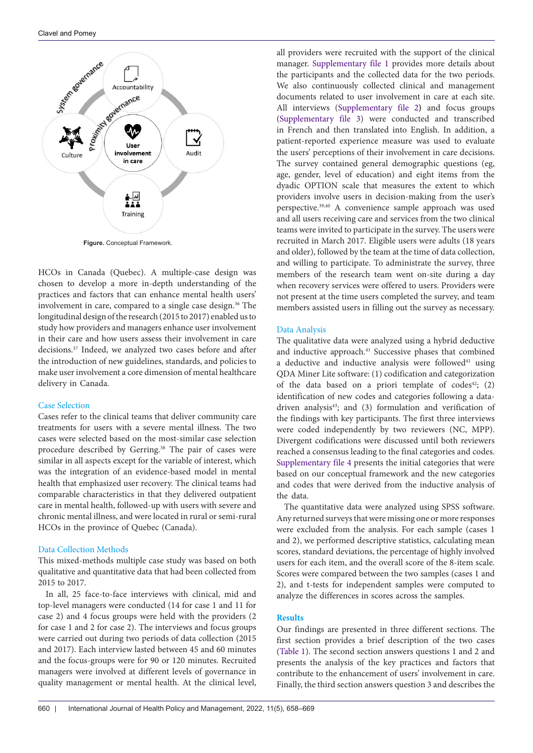<span id="page-2-0"></span>

HCOs in Canada (Quebec). A multiple-case design was chosen to develop a more in-depth understanding of the practices and factors that can enhance mental health users' involvement in care, compared to a single case design.<sup>36</sup> The longitudinal design of the research (2015 to 2017) enabled us to study how providers and managers enhance user involvement in their care and how users assess their involvement in care decisions.37 Indeed, we analyzed two cases before and after the introduction of new guidelines, standards, and policies to make user involvement a core dimension of mental healthcare delivery in Canada.

## Case Selection

Cases refer to the clinical teams that deliver community care treatments for users with a severe mental illness. The two cases were selected based on the most-similar case selection procedure described by Gerring.<sup>38</sup> The pair of cases were similar in all aspects except for the variable of interest, which was the integration of an evidence-based model in mental health that emphasized user recovery. The clinical teams had comparable characteristics in that they delivered outpatient care in mental health, followed-up with users with severe and chronic mental illness, and were located in rural or semi-rural HCOs in the province of Quebec (Canada).

#### Data Collection Methods

This mixed-methods multiple case study was based on both qualitative and quantitative data that had been collected from 2015 to 2017.

In all, 25 face-to-face interviews with clinical, mid and top-level managers were conducted (14 for case 1 and 11 for case 2) and 4 focus groups were held with the providers (2 for case 1 and 2 for case 2). The interviews and focus groups were carried out during two periods of data collection (2015 and 2017). Each interview lasted between 45 and 60 minutes and the focus-groups were for 90 or 120 minutes. Recruited managers were involved at different levels of governance in quality management or mental health. At the clinical level,

all providers were recruited with the support of the clinical manager. [Supplementary file 1](#page-10-0) provides more details about the participants and the collected data for the two periods. We also continuously collected clinical and management documents related to user involvement in care at each site. All interviews ([Supplementary file 2](#page-10-1)**)** and focus groups [\(Supplementary file 3\)](#page-10-2) were conducted and transcribed in French and then translated into English. In addition, a patient-reported experience measure was used to evaluate the users' perceptions of their involvement in care decisions. The survey contained general demographic questions (eg, age, gender, level of education) and eight items from the dyadic OPTION scale that measures the extent to which providers involve users in decision-making from the user's perspective.39,40 A convenience sample approach was used and all users receiving care and services from the two clinical teams were invited to participate in the survey. The users were recruited in March 2017. Eligible users were adults (18 years and older), followed by the team at the time of data collection, and willing to participate. To administrate the survey, three members of the research team went on-site during a day when recovery services were offered to users. Providers were not present at the time users completed the survey, and team members assisted users in filling out the survey as necessary.

#### Data Analysis

The qualitative data were analyzed using a hybrid deductive and inductive approach.<sup>41</sup> Successive phases that combined a deductive and inductive analysis were followed<sup>41</sup> using QDA Miner Lite software: (1) codification and categorization of the data based on a priori template of  $codes^{42}$ ; (2) identification of new codes and categories following a datadriven analysis<sup>43</sup>; and (3) formulation and verification of the findings with key participants. The first three interviews were coded independently by two reviewers (NC, MPP). Divergent codifications were discussed until both reviewers reached a consensus leading to the final categories and codes. [Supplementary file 4](#page-10-3) presents the initial categories that were based on our conceptual framework and the new categories and codes that were derived from the inductive analysis of the data.

The quantitative data were analyzed using SPSS software. Any returned surveys that were missing one or more responses were excluded from the analysis. For each sample (cases 1 and 2), we performed descriptive statistics, calculating mean scores, standard deviations, the percentage of highly involved users for each item, and the overall score of the 8-item scale. Scores were compared between the two samples (cases 1 and 2), and t-tests for independent samples were computed to analyze the differences in scores across the samples.

## **Results**

Our findings are presented in three different sections. The first section provides a brief description of the two cases [\(Table 1](#page-3-0)). The second section answers questions 1 and 2 and presents the analysis of the key practices and factors that contribute to the enhancement of users' involvement in care. Finally, the third section answers question 3 and describes the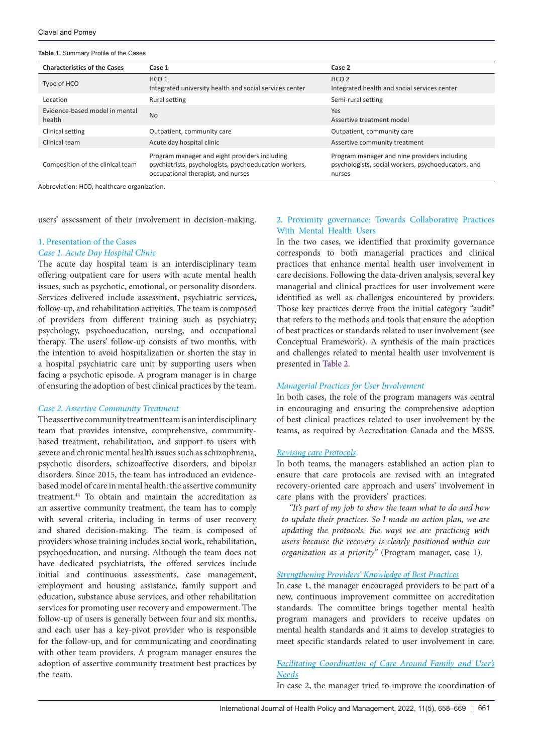#### <span id="page-3-0"></span>**Table 1.** Summary Profile of the Cases

| <b>Characteristics of the Cases</b>      | Case 1                                                                                                                                        | Case 2                                                                                                        |  |  |  |
|------------------------------------------|-----------------------------------------------------------------------------------------------------------------------------------------------|---------------------------------------------------------------------------------------------------------------|--|--|--|
| Type of HCO                              | HCO <sub>1</sub><br>Integrated university health and social services center                                                                   | HCO <sub>2</sub><br>Integrated health and social services center                                              |  |  |  |
| Location                                 | Rural setting                                                                                                                                 | Semi-rural setting                                                                                            |  |  |  |
| Evidence-based model in mental<br>health | <b>No</b>                                                                                                                                     | Yes<br>Assertive treatment model                                                                              |  |  |  |
| Clinical setting                         | Outpatient, community care                                                                                                                    | Outpatient, community care                                                                                    |  |  |  |
| Clinical team                            | Acute day hospital clinic                                                                                                                     | Assertive community treatment                                                                                 |  |  |  |
| Composition of the clinical team         | Program manager and eight providers including<br>psychiatrists, psychologists, psychoeducation workers,<br>occupational therapist, and nurses | Program manager and nine providers including<br>psychologists, social workers, psychoeducators, and<br>nurses |  |  |  |

Abbreviation: HCO, healthcare organization.

users' assessment of their involvement in decision-making.

#### 1. Presentation of the Cases

#### *Case 1. Acute Day Hospital Clinic*

The acute day hospital team is an interdisciplinary team offering outpatient care for users with acute mental health issues, such as psychotic, emotional, or personality disorders. Services delivered include assessment, psychiatric services, follow-up, and rehabilitation activities. The team is composed of providers from different training such as psychiatry, psychology, psychoeducation, nursing, and occupational therapy. The users' follow-up consists of two months, with the intention to avoid hospitalization or shorten the stay in a hospital psychiatric care unit by supporting users when facing a psychotic episode. A program manager is in charge of ensuring the adoption of best clinical practices by the team.

#### *Case 2. Assertive Community Treatment*

The assertive community treatment team is an interdisciplinary team that provides intensive, comprehensive, communitybased treatment, rehabilitation, and support to users with severe and chronic mental health issues such as schizophrenia, psychotic disorders, schizoaffective disorders, and bipolar disorders. Since 2015, the team has introduced an evidencebased model of care in mental health: the assertive community treatment.44 To obtain and maintain the accreditation as an assertive community treatment, the team has to comply with several criteria, including in terms of user recovery and shared decision-making. The team is composed of providers whose training includes social work, rehabilitation, psychoeducation, and nursing. Although the team does not have dedicated psychiatrists, the offered services include initial and continuous assessments, case management, employment and housing assistance, family support and education, substance abuse services, and other rehabilitation services for promoting user recovery and empowerment. The follow-up of users is generally between four and six months, and each user has a key-pivot provider who is responsible for the follow-up, and for communicating and coordinating with other team providers. A program manager ensures the adoption of assertive community treatment best practices by the team.

## 2. Proximity governance: Towards Collaborative Practices With Mental Health Users

In the two cases, we identified that proximity governance corresponds to both managerial practices and clinical practices that enhance mental health user involvement in care decisions. Following the data-driven analysis, several key managerial and clinical practices for user involvement were identified as well as challenges encountered by providers. Those key practices derive from the initial category "audit" that refers to the methods and tools that ensure the adoption of best practices or standards related to user involvement (see Conceptual Framework). A synthesis of the main practices and challenges related to mental health user involvement is presented in [Table 2.](#page-4-0)

## *Managerial Practices for User Involvement*

In both cases, the role of the program managers was central in encouraging and ensuring the comprehensive adoption of best clinical practices related to user involvement by the teams, as required by Accreditation Canada and the MSSS.

#### *Revising care Protocols*

In both teams, the managers established an action plan to ensure that care protocols are revised with an integrated recovery-oriented care approach and users' involvement in care plans with the providers' practices.

*"It's part of my job to show the team what to do and how to update their practices. So I made an action plan, we are updating the protocols, the ways we are practicing with users because the recovery is clearly positioned within our organization as a priority"* (Program manager, case 1).

## *Strengthening Providers' Knowledge of Best Practices*

In case 1, the manager encouraged providers to be part of a new, continuous improvement committee on accreditation standards. The committee brings together mental health program managers and providers to receive updates on mental health standards and it aims to develop strategies to meet specific standards related to user involvement in care.

## *Facilitating Coordination of Care Around Family and User's Needs*

In case 2, the manager tried to improve the coordination of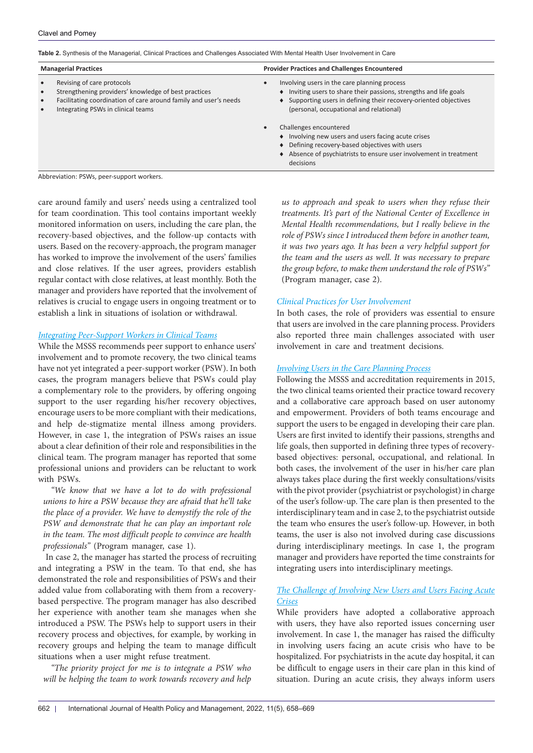<span id="page-4-0"></span>**Table 2.** Synthesis of the Managerial, Clinical Practices and Challenges Associated With Mental Health User Involvement in Care

| <b>Managerial Practices</b>                      |                                                                                                                                                                                              | <b>Provider Practices and Challenges Encountered</b>                                                                                                                                                                               |  |  |
|--------------------------------------------------|----------------------------------------------------------------------------------------------------------------------------------------------------------------------------------------------|------------------------------------------------------------------------------------------------------------------------------------------------------------------------------------------------------------------------------------|--|--|
| $\bullet$<br>$\bullet$<br>$\bullet$<br>$\bullet$ | Revising of care protocols<br>Strengthening providers' knowledge of best practices<br>Facilitating coordination of care around family and user's needs<br>Integrating PSWs in clinical teams | Involving users in the care planning process<br>• Inviting users to share their passions, strengths and life goals<br>• Supporting users in defining their recovery-oriented objectives<br>(personal, occupational and relational) |  |  |
|                                                  |                                                                                                                                                                                              | Challenges encountered<br>Involving new users and users facing acute crises<br>Defining recovery-based objectives with users<br>Absence of psychiatrists to ensure user involvement in treatment<br>decisions                      |  |  |

Abbreviation: PSWs, peer-support workers.

care around family and users' needs using a centralized tool for team coordination. This tool contains important weekly monitored information on users, including the care plan, the recovery-based objectives, and the follow-up contacts with users. Based on the recovery-approach, the program manager has worked to improve the involvement of the users' families and close relatives. If the user agrees, providers establish regular contact with close relatives, at least monthly. Both the manager and providers have reported that the involvement of relatives is crucial to engage users in ongoing treatment or to establish a link in situations of isolation or withdrawal.

## *Integrating Peer-Support Workers in Clinical Teams*

While the MSSS recommends peer support to enhance users' involvement and to promote recovery, the two clinical teams have not yet integrated a peer-support worker (PSW). In both cases, the program managers believe that PSWs could play a complementary role to the providers, by offering ongoing support to the user regarding his/her recovery objectives, encourage users to be more compliant with their medications, and help de-stigmatize mental illness among providers. However, in case 1, the integration of PSWs raises an issue about a clear definition of their role and responsibilities in the clinical team. The program manager has reported that some professional unions and providers can be reluctant to work with PSWs.

*"We know that we have a lot to do with professional unions to hire a PSW because they are afraid that he'll take the place of a provider. We have to demystify the role of the PSW and demonstrate that he can play an important role in the team. The most difficult people to convince are health professionals"* (Program manager, case 1).

In case 2, the manager has started the process of recruiting and integrating a PSW in the team. To that end, she has demonstrated the role and responsibilities of PSWs and their added value from collaborating with them from a recoverybased perspective. The program manager has also described her experience with another team she manages when she introduced a PSW. The PSWs help to support users in their recovery process and objectives, for example, by working in recovery groups and helping the team to manage difficult situations when a user might refuse treatment.

*"The priority project for me is to integrate a PSW who will be helping the team to work towards recovery and help* 

*us to approach and speak to users when they refuse their treatments. It's part of the National Center of Excellence in Mental Health recommendations, but I really believe in the role of PSWs since I introduced them before in another team, it was two years ago. It has been a very helpful support for the team and the users as well. It was necessary to prepare the group before, to make them understand the role of PSWs"*  (Program manager, case 2).

## *Clinical Practices for User Involvement*

In both cases, the role of providers was essential to ensure that users are involved in the care planning process. Providers also reported three main challenges associated with user involvement in care and treatment decisions.

## *Involving Users in the Care Planning Process*

Following the MSSS and accreditation requirements in 2015, the two clinical teams oriented their practice toward recovery and a collaborative care approach based on user autonomy and empowerment. Providers of both teams encourage and support the users to be engaged in developing their care plan. Users are first invited to identify their passions, strengths and life goals, then supported in defining three types of recoverybased objectives: personal, occupational, and relational. In both cases, the involvement of the user in his/her care plan always takes place during the first weekly consultations/visits with the pivot provider (psychiatrist or psychologist) in charge of the user's follow-up. The care plan is then presented to the interdisciplinary team and in case 2, to the psychiatrist outside the team who ensures the user's follow-up. However, in both teams, the user is also not involved during case discussions during interdisciplinary meetings. In case 1, the program manager and providers have reported the time constraints for integrating users into interdisciplinary meetings.

## *The Challenge of Involving New Users and Users Facing Acute Crises*

While providers have adopted a collaborative approach with users, they have also reported issues concerning user involvement. In case 1, the manager has raised the difficulty in involving users facing an acute crisis who have to be hospitalized. For psychiatrists in the acute day hospital, it can be difficult to engage users in their care plan in this kind of situation. During an acute crisis, they always inform users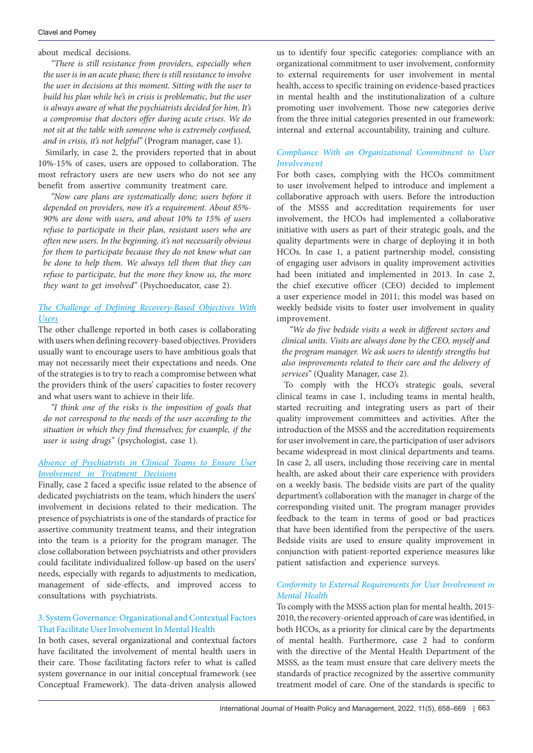about medical decisions.

*"There is still resistance from providers, especially when the user is in an acute phase; there is still resistance to involve the user in decisions at this moment. Sitting with the user to build his plan while he's in crisis is problematic, but the user is always aware of what the psychiatrists decided for him. It's a compromise that doctors offer during acute crises. We do not sit at the table with someone who is extremely confused, and in crisis, it's not helpful"* (Program manager, case 1).

Similarly, in case 2, the providers reported that in about 10%-15% of cases, users are opposed to collaboration. The most refractory users are new users who do not see any benefit from assertive community treatment care.

*"Now care plans are systematically done; users before it depended on providers, now it's a requirement. About 85%- 90% are done with users, and about 10% to 15% of users refuse to participate in their plan, resistant users who are often new users. In the beginning, it's not necessarily obvious for them to participate because they do not know what can be done to help them. We always tell them that they can refuse to participate, but the more they know us, the more they want to get involved"* (Psychoeducator, case 2).

## *The Challenge of Defining Recovery-Based Objectives With Users*

The other challenge reported in both cases is collaborating with users when defining recovery-based objectives. Providers usually want to encourage users to have ambitious goals that may not necessarily meet their expectations and needs. One of the strategies is to try to reach a compromise between what the providers think of the users' capacities to foster recovery and what users want to achieve in their life.

*"I think one of the risks is the imposition of goals that do not correspond to the needs of the user according to the situation in which they find themselves; for example, if the user is using drugs"* (psychologist, case 1).

## *Absence of Psychiatrists in Clinical Teams to Ensure User Involvement in Treatment Decisions*

Finally, case 2 faced a specific issue related to the absence of dedicated psychiatrists on the team, which hinders the users' involvement in decisions related to their medication. The presence of psychiatrists is one of the standards of practice for assertive community treatment teams, and their integration into the team is a priority for the program manager. The close collaboration between psychiatrists and other providers could facilitate individualized follow-up based on the users' needs, especially with regards to adjustments to medication, management of side-effects, and improved access to consultations with psychiatrists.

## 3. System Governance: Organizational and Contextual Factors That Facilitate User Involvement In Mental Health

In both cases, several organizational and contextual factors have facilitated the involvement of mental health users in their care. Those facilitating factors refer to what is called system governance in our initial conceptual framework (see Conceptual Framework). The data-driven analysis allowed

us to identify four specific categories: compliance with an organizational commitment to user involvement, conformity to external requirements for user involvement in mental health, access to specific training on evidence-based practices in mental health and the institutionalization of a culture promoting user involvement. Those new categories derive from the three initial categories presented in our framework: internal and external accountability, training and culture.

## *Compliance With an Organizational Commitment to User Involvement*

For both cases, complying with the HCOs commitment to user involvement helped to introduce and implement a collaborative approach with users. Before the introduction of the MSSS and accreditation requirements for user involvement, the HCOs had implemented a collaborative initiative with users as part of their strategic goals, and the quality departments were in charge of deploying it in both HCOs. In case 1, a patient partnership model, consisting of engaging user advisors in quality improvement activities had been initiated and implemented in 2013. In case 2, the chief executive officer (CEO) decided to implement a user experience model in 2011; this model was based on weekly bedside visits to foster user involvement in quality improvement.

*"We do five bedside visits a week in different sectors and clinical units. Visits are always done by the CEO, myself and the program manager. We ask users to identify strengths but also improvements related to their care and the delivery of services"* (Quality Manager, case 2).

To comply with the HCO's strategic goals, several clinical teams in case 1, including teams in mental health, started recruiting and integrating users as part of their quality improvement committees and activities. After the introduction of the MSSS and the accreditation requirements for user involvement in care, the participation of user advisors became widespread in most clinical departments and teams. In case 2, all users, including those receiving care in mental health, are asked about their care experience with providers on a weekly basis. The bedside visits are part of the quality department's collaboration with the manager in charge of the corresponding visited unit. The program manager provides feedback to the team in terms of good or bad practices that have been identified from the perspective of the users. Bedside visits are used to ensure quality improvement in conjunction with patient-reported experience measures like patient satisfaction and experience surveys.

## *Conformity to External Requirements for User Involvement in Mental Health*

To comply with the MSSS action plan for mental health, 2015- 2010, the recovery-oriented approach of care was identified, in both HCOs, as a priority for clinical care by the departments of mental health. Furthermore, case 2 had to conform with the directive of the Mental Health Department of the MSSS, as the team must ensure that care delivery meets the standards of practice recognized by the assertive community treatment model of care. One of the standards is specific to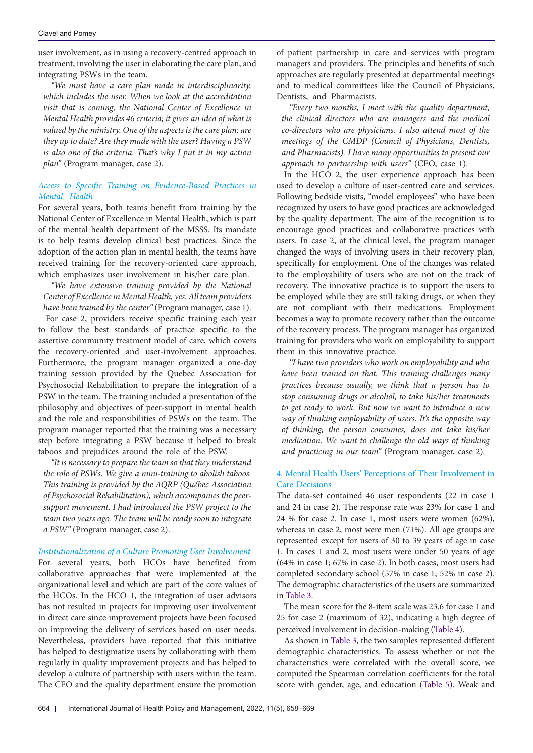user involvement, as in using a recovery-centred approach in treatment, involving the user in elaborating the care plan, and integrating PSWs in the team.

*"We must have a care plan made in interdisciplinarity, which includes the user. When we look at the accreditation visit that is coming, the National Center of Excellence in Mental Health provides 46 criteria; it gives an idea of what is valued by the ministry. One of the aspects is the care plan: are they up to date? Are they made with the user? Having a PSW is also one of the criteria. That's why I put it in my action plan"* (Program manager, case 2).

## *Access to Specific Training on Evidence-Based Practices in Mental Health*

For several years, both teams benefit from training by the National Center of Excellence in Mental Health, which is part of the mental health department of the MSSS. Its mandate is to help teams develop clinical best practices. Since the adoption of the action plan in mental health, the teams have received training for the recovery-oriented care approach, which emphasizes user involvement in his/her care plan.

*"We have extensive training provided by the National Center of Excellence in Mental Health, yes. All team providers have been trained by the center"* (Program manager, case 1).

For case 2, providers receive specific training each year to follow the best standards of practice specific to the assertive community treatment model of care, which covers the recovery-oriented and user-involvement approaches. Furthermore, the program manager organized a one-day training session provided by the Quebec Association for Psychosocial Rehabilitation to prepare the integration of a PSW in the team. The training included a presentation of the philosophy and objectives of peer-support in mental health and the role and responsibilities of PSWs on the team. The program manager reported that the training was a necessary step before integrating a PSW because it helped to break taboos and prejudices around the role of the PSW.

*"It is necessary to prepare the team so that they understand the role of PSWs. We give a mini-training to abolish taboos. This training is provided by the AQRP (Québec Association of Psychosocial Rehabilitation), which accompanies the peersupport movement. I had introduced the PSW project to the team two years ago. The team will be ready soon to integrate a PSW"* (Program manager, case 2).

## *Institutionalization of a Culture Promoting User Involvement*

For several years, both HCOs have benefited from collaborative approaches that were implemented at the organizational level and which are part of the core values of the HCOs. In the HCO 1, the integration of user advisors has not resulted in projects for improving user involvement in direct care since improvement projects have been focused on improving the delivery of services based on user needs. Nevertheless, providers have reported that this initiative has helped to destigmatize users by collaborating with them regularly in quality improvement projects and has helped to develop a culture of partnership with users within the team. The CEO and the quality department ensure the promotion

of patient partnership in care and services with program managers and providers. The principles and benefits of such approaches are regularly presented at departmental meetings and to medical committees like the Council of Physicians, Dentists, and Pharmacists.

*"Every two months, I meet with the quality department, the clinical directors who are managers and the medical co-directors who are physicians. I also attend most of the meetings of the CMDP (Council of Physicians, Dentists, and Pharmacists). I have many opportunities to present our approach to partnership with users"* (CEO, case 1).

In the HCO 2, the user experience approach has been used to develop a culture of user-centred care and services. Following bedside visits, "model employees" who have been recognized by users to have good practices are acknowledged by the quality department. The aim of the recognition is to encourage good practices and collaborative practices with users. In case 2, at the clinical level, the program manager changed the ways of involving users in their recovery plan, specifically for employment. One of the changes was related to the employability of users who are not on the track of recovery. The innovative practice is to support the users to be employed while they are still taking drugs, or when they are not compliant with their medications. Employment becomes a way to promote recovery rather than the outcome of the recovery process. The program manager has organized training for providers who work on employability to support them in this innovative practice.

*"I have two providers who work on employability and who have been trained on that. This training challenges many practices because usually, we think that a person has to stop consuming drugs or alcohol, to take his/her treatments to get ready to work. But now we want to introduce a new way of thinking employability of users. It's the opposite way of thinking; the person consumes, does not take his/her medication. We want to challenge the old ways of thinking and practicing in our team"* (Program manager, case 2)*.*

## 4. Mental Health Users' Perceptions of Their Involvement in Care Decisions

The data-set contained 46 user respondents (22 in case 1 and 24 in case 2). The response rate was 23% for case 1 and 24 % for case 2. In case 1, most users were women (62%), whereas in case 2, most were men (71%). All age groups are represented except for users of 30 to 39 years of age in case 1. In cases 1 and 2, most users were under 50 years of age (64% in case 1; 67% in case 2). In both cases, most users had completed secondary school (57% in case 1; 52% in case 2). The demographic characteristics of the users are summarized in [Table 3.](#page-7-0)

The mean score for the 8-item scale was 23.6 for case 1 and 25 for case 2 (maximum of 32), indicating a high degree of perceived involvement in decision-making ([Table 4](#page-7-1)).

As shown in [Table 3](#page-7-0), the two samples represented different demographic characteristics. To assess whether or not the characteristics were correlated with the overall score, we computed the Spearman correlation coefficients for the total score with gender, age, and education [\(Table 5](#page-7-2)). Weak and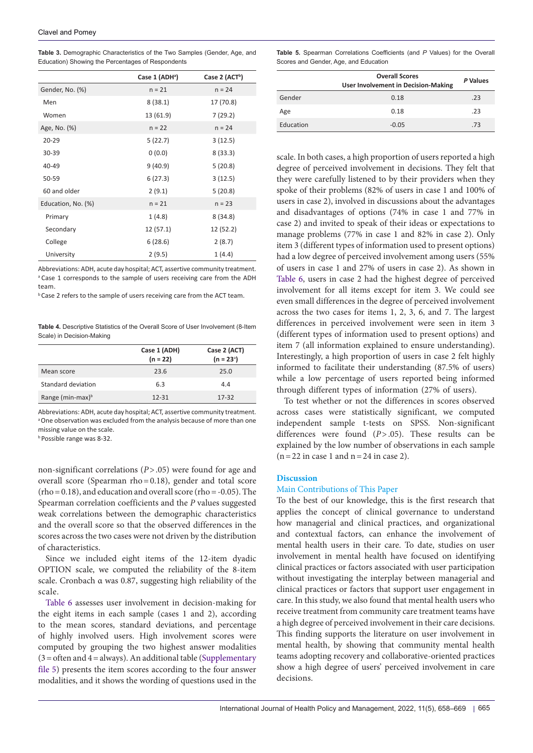<span id="page-7-0"></span>**Table 3.** Demographic Characteristics of the Two Samples (Gender, Age, and Education) Showing the Percentages of Respondents

| Case 1 (ADH <sup>a</sup> ) | Case 2 (ACT <sup>b</sup> ) |  |  |  |
|----------------------------|----------------------------|--|--|--|
| $n = 21$                   | $n = 24$                   |  |  |  |
| 8(38.1)                    | 17 (70.8)                  |  |  |  |
| 13 (61.9)                  | 7(29.2)                    |  |  |  |
| $n = 22$                   | $n = 24$                   |  |  |  |
| 5(22.7)                    | 3(12.5)                    |  |  |  |
| 0(0.0)                     | 8(33.3)                    |  |  |  |
| 9(40.9)                    | 5(20.8)                    |  |  |  |
| 6(27.3)                    | 3(12.5)                    |  |  |  |
| 2(9.1)                     | 5(20.8)                    |  |  |  |
| $n = 21$                   | $n = 23$                   |  |  |  |
| 1(4.8)                     | 8(34.8)                    |  |  |  |
| 12 (57.1)                  | 12 (52.2)                  |  |  |  |
| 6(28.6)                    | 2(8.7)                     |  |  |  |
| 2(9.5)                     | 1(4.4)                     |  |  |  |
|                            |                            |  |  |  |

Abbreviations: ADH, acute day hospital; ACT, assertive community treatment. <sup>a</sup> Case 1 corresponds to the sample of users receiving care from the ADH team.

**b** Case 2 refers to the sample of users receiving care from the ACT team.

<span id="page-7-1"></span>**Table 4.** Descriptive Statistics of the Overall Score of User Involvement (8-Item Scale) in Decision-Making

|                     | Case 1 (ADH)<br>$(n = 22)$ | Case 2 (ACT)<br>$(n = 23^{\circ})$ |
|---------------------|----------------------------|------------------------------------|
| Mean score          | 23.6                       | 25.0                               |
| Standard deviation  | 6.3                        | 4.4                                |
| Range (min-max) $b$ | $12 - 31$                  | $17 - 32$                          |

Abbreviations: ADH, acute day hospital; ACT, assertive community treatment. <sup>a</sup> One observation was excluded from the analysis because of more than one missing value on the scale.

b Possible range was 8-32.

non-significant correlations (*P*>.05) were found for age and overall score (Spearman rho=0.18), gender and total score  $(rho = 0.18)$ , and education and overall score  $(rho = -0.05)$ . The Spearman correlation coefficients and the *P* values suggested weak correlations between the demographic characteristics and the overall score so that the observed differences in the scores across the two cases were not driven by the distribution of characteristics.

Since we included eight items of the 12-item dyadic OPTION scale, we computed the reliability of the 8-item scale. Cronbach α was 0.87, suggesting high reliability of the scale.

[Table 6](#page-8-0) assesses user involvement in decision-making for the eight items in each sample (cases 1 and 2), according to the mean scores, standard deviations, and percentage of highly involved users. High involvement scores were computed by grouping the two highest answer modalities  $(3=$  often and  $4=$ always). An additional table ([Supplementary](#page-10-4) [file 5\)](#page-10-4) presents the item scores according to the four answer modalities, and it shows the wording of questions used in the

<span id="page-7-2"></span>**Table 5.** Spearman Correlations Coefficients (and *P* Values) for the Overall Scores and Gender, Age, and Education

|           | <b>Overall Scores</b><br><b>User Involvement in Decision-Making</b> |     |
|-----------|---------------------------------------------------------------------|-----|
| Gender    | 0.18                                                                | .23 |
| Age       | 0.18                                                                | .23 |
| Education | $-0.05$                                                             | .73 |

scale. In both cases, a high proportion of users reported a high degree of perceived involvement in decisions. They felt that they were carefully listened to by their providers when they spoke of their problems (82% of users in case 1 and 100% of users in case 2), involved in discussions about the advantages and disadvantages of options (74% in case 1 and 77% in case 2) and invited to speak of their ideas or expectations to manage problems (77% in case 1 and 82% in case 2). Only item 3 (different types of information used to present options) had a low degree of perceived involvement among users (55% of users in case 1 and 27% of users in case 2). As shown in [Table 6](#page-8-0), users in case 2 had the highest degree of perceived involvement for all items except for item 3. We could see even small differences in the degree of perceived involvement across the two cases for items 1, 2, 3, 6, and 7. The largest differences in perceived involvement were seen in item 3 (different types of information used to present options) and item 7 (all information explained to ensure understanding). Interestingly, a high proportion of users in case 2 felt highly informed to facilitate their understanding (87.5% of users) while a low percentage of users reported being informed through different types of information (27% of users).

To test whether or not the differences in scores observed across cases were statistically significant, we computed independent sample t-tests on SPSS. Non-significant differences were found (*P*>.05). These results can be explained by the low number of observations in each sample  $(n=22$  in case 1 and  $n=24$  in case 2).

#### **Discussion**

#### Main Contributions of This Paper

To the best of our knowledge, this is the first research that applies the concept of clinical governance to understand how managerial and clinical practices, and organizational and contextual factors, can enhance the involvement of mental health users in their care. To date, studies on user involvement in mental health have focused on identifying clinical practices or factors associated with user participation without investigating the interplay between managerial and clinical practices or factors that support user engagement in care. In this study, we also found that mental health users who receive treatment from community care treatment teams have a high degree of perceived involvement in their care decisions. This finding supports the literature on user involvement in mental health, by showing that community mental health teams adopting recovery and collaborative-oriented practices show a high degree of users' perceived involvement in care decisions.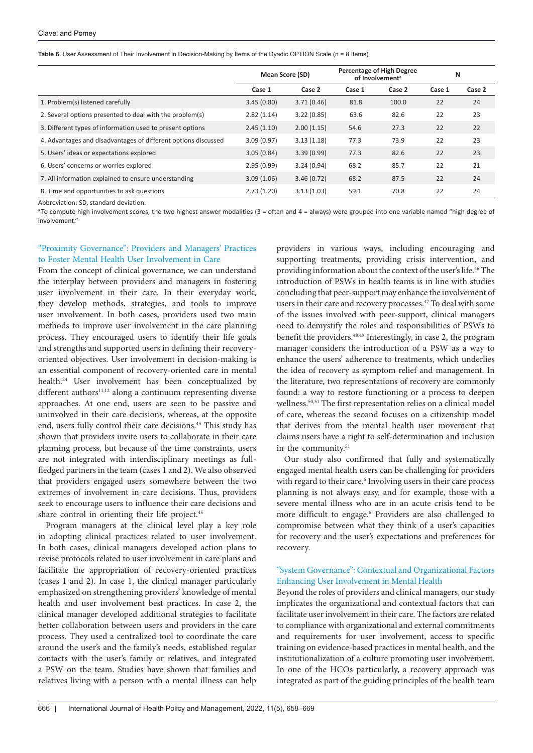<span id="page-8-0"></span>**Table 6.** User Assessment of Their Involvement in Decision-Making by Items of the Dyadic OPTION Scale (n = 8 Items)

|                                                                | <b>Mean Score (SD)</b> |            | <b>Percentage of High Degree</b><br>of Involvement <sup>a</sup> |        | N      |        |
|----------------------------------------------------------------|------------------------|------------|-----------------------------------------------------------------|--------|--------|--------|
|                                                                | Case 1                 | Case 2     | Case 1                                                          | Case 2 | Case 1 | Case 2 |
| 1. Problem(s) listened carefully                               | 3.45(0.80)             | 3.71(0.46) | 81.8                                                            | 100.0  | 22     | 24     |
| 2. Several options presented to deal with the problem(s)       | 2.82(1.14)             | 3.22(0.85) | 63.6                                                            | 82.6   | 22     | 23     |
| 3. Different types of information used to present options      | 2.45(1.10)             | 2.00(1.15) | 54.6                                                            | 27.3   | 22     | 22     |
| 4. Advantages and disadvantages of different options discussed | 3.09(0.97)             | 3.13(1.18) | 77.3                                                            | 73.9   | 22     | 23     |
| 5. Users' ideas or expectations explored                       | 3.05(0.84)             | 3.39(0.99) | 77.3                                                            | 82.6   | 22     | 23     |
| 6. Users' concerns or worries explored                         | 2.95(0.99)             | 3.24(0.94) | 68.2                                                            | 85.7   | 22     | 21     |
| 7. All information explained to ensure understanding           | 3.09(1.06)             | 3.46(0.72) | 68.2                                                            | 87.5   | 22     | 24     |
| 8. Time and opportunities to ask questions                     | 2.73(1.20)             | 3.13(1.03) | 59.1                                                            | 70.8   | 22     | 24     |

Abbreviation: SD, standard deviation.

<sup>a</sup>To compute high involvement scores, the two highest answer modalities (3 = often and 4 = always) were grouped into one variable named "high degree of involvement."

## "Proximity Governance": Providers and Managers' Practices to Foster Mental Health User Involvement in Care

From the concept of clinical governance, we can understand the interplay between providers and managers in fostering user involvement in their care. In their everyday work, they develop methods, strategies, and tools to improve user involvement. In both cases, providers used two main methods to improve user involvement in the care planning process. They encouraged users to identify their life goals and strengths and supported users in defining their recoveryoriented objectives. User involvement in decision-making is an essential component of recovery-oriented care in mental health.24 User involvement has been conceptualized by different authors<sup>11,12</sup> along a continuum representing diverse approaches. At one end, users are seen to be passive and uninvolved in their care decisions, whereas, at the opposite end, users fully control their care decisions.45 This study has shown that providers invite users to collaborate in their care planning process, but because of the time constraints, users are not integrated with interdisciplinary meetings as fullfledged partners in the team (cases 1 and 2). We also observed that providers engaged users somewhere between the two extremes of involvement in care decisions. Thus, providers seek to encourage users to influence their care decisions and share control in orienting their life project.<sup>45</sup>

Program managers at the clinical level play a key role in adopting clinical practices related to user involvement. In both cases, clinical managers developed action plans to revise protocols related to user involvement in care plans and facilitate the appropriation of recovery-oriented practices (cases 1 and 2). In case 1, the clinical manager particularly emphasized on strengthening providers' knowledge of mental health and user involvement best practices. In case 2, the clinical manager developed additional strategies to facilitate better collaboration between users and providers in the care process. They used a centralized tool to coordinate the care around the user's and the family's needs, established regular contacts with the user's family or relatives, and integrated a PSW on the team. Studies have shown that families and relatives living with a person with a mental illness can help

providers in various ways, including encouraging and supporting treatments, providing crisis intervention, and providing information about the context of the user's life.<sup>46</sup> The introduction of PSWs in health teams is in line with studies concluding that peer-support may enhance the involvement of users in their care and recovery processes.<sup>47</sup> To deal with some of the issues involved with peer-support, clinical managers need to demystify the roles and responsibilities of PSWs to benefit the providers.48,49 Interestingly, in case 2, the program manager considers the introduction of a PSW as a way to enhance the users' adherence to treatments, which underlies the idea of recovery as symptom relief and management. In the literature, two representations of recovery are commonly found: a way to restore functioning or a process to deepen wellness.50,51 The first representation relies on a clinical model of care, whereas the second focuses on a citizenship model that derives from the mental health user movement that claims users have a right to self-determination and inclusion in the community.<sup>51</sup>

Our study also confirmed that fully and systematically engaged mental health users can be challenging for providers with regard to their care.<sup>6</sup> Involving users in their care process planning is not always easy, and for example, those with a severe mental illness who are in an acute crisis tend to be more difficult to engage.<sup>6</sup> Providers are also challenged to compromise between what they think of a user's capacities for recovery and the user's expectations and preferences for recovery.

## "System Governance": Contextual and Organizational Factors Enhancing User Involvement in Mental Health

Beyond the roles of providers and clinical managers, our study implicates the organizational and contextual factors that can facilitate user involvement in their care. The factors are related to compliance with organizational and external commitments and requirements for user involvement, access to specific training on evidence-based practices in mental health, and the institutionalization of a culture promoting user involvement. In one of the HCOs particularly, a recovery approach was integrated as part of the guiding principles of the health team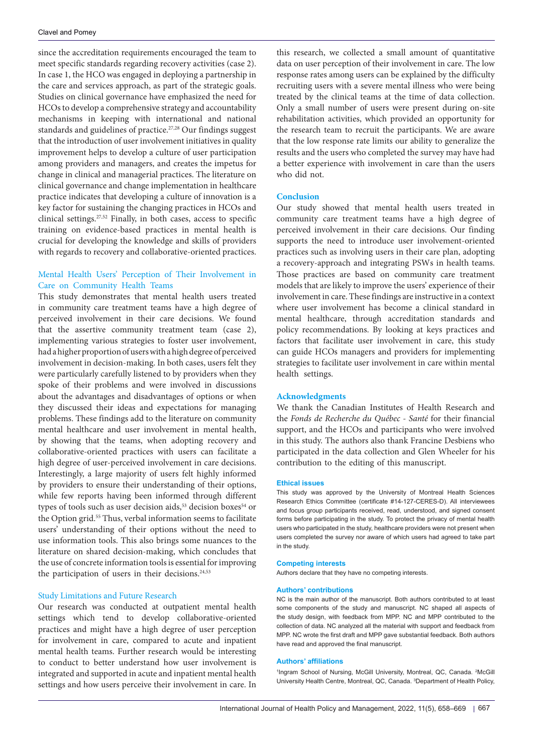since the accreditation requirements encouraged the team to meet specific standards regarding recovery activities (case 2). In case 1, the HCO was engaged in deploying a partnership in the care and services approach, as part of the strategic goals. Studies on clinical governance have emphasized the need for HCOs to develop a comprehensive strategy and accountability mechanisms in keeping with international and national standards and guidelines of practice.<sup>27,28</sup> Our findings suggest that the introduction of user involvement initiatives in quality improvement helps to develop a culture of user participation among providers and managers, and creates the impetus for change in clinical and managerial practices. The literature on clinical governance and change implementation in healthcare practice indicates that developing a culture of innovation is a key factor for sustaining the changing practices in HCOs and clinical settings.27,52 Finally, in both cases, access to specific training on evidence-based practices in mental health is crucial for developing the knowledge and skills of providers with regards to recovery and collaborative-oriented practices.

## Mental Health Users' Perception of Their Involvement in Care on Community Health Teams

This study demonstrates that mental health users treated in community care treatment teams have a high degree of perceived involvement in their care decisions. We found that the assertive community treatment team (case 2), implementing various strategies to foster user involvement, had a higher proportion of users with a high degree of perceived involvement in decision-making. In both cases, users felt they were particularly carefully listened to by providers when they spoke of their problems and were involved in discussions about the advantages and disadvantages of options or when they discussed their ideas and expectations for managing problems. These findings add to the literature on community mental healthcare and user involvement in mental health, by showing that the teams, when adopting recovery and collaborative-oriented practices with users can facilitate a high degree of user-perceived involvement in care decisions. Interestingly, a large majority of users felt highly informed by providers to ensure their understanding of their options, while few reports having been informed through different types of tools such as user decision aids,<sup>53</sup> decision boxes<sup>54</sup> or the Option grid.<sup>55</sup> Thus, verbal information seems to facilitate users' understanding of their options without the need to use information tools. This also brings some nuances to the literature on shared decision-making, which concludes that the use of concrete information tools is essential for improving the participation of users in their decisions.<sup>24,53</sup>

#### Study Limitations and Future Research

Our research was conducted at outpatient mental health settings which tend to develop collaborative-oriented practices and might have a high degree of user perception for involvement in care, compared to acute and inpatient mental health teams. Further research would be interesting to conduct to better understand how user involvement is integrated and supported in acute and inpatient mental health settings and how users perceive their involvement in care. In

this research, we collected a small amount of quantitative data on user perception of their involvement in care. The low response rates among users can be explained by the difficulty recruiting users with a severe mental illness who were being treated by the clinical teams at the time of data collection. Only a small number of users were present during on-site rehabilitation activities, which provided an opportunity for the research team to recruit the participants. We are aware that the low response rate limits our ability to generalize the results and the users who completed the survey may have had a better experience with involvement in care than the users who did not.

#### **Conclusion**

Our study showed that mental health users treated in community care treatment teams have a high degree of perceived involvement in their care decisions. Our finding supports the need to introduce user involvement-oriented practices such as involving users in their care plan, adopting a recovery-approach and integrating PSWs in health teams. Those practices are based on community care treatment models that are likely to improve the users' experience of their involvement in care. These findings are instructive in a context where user involvement has become a clinical standard in mental healthcare, through accreditation standards and policy recommendations. By looking at keys practices and factors that facilitate user involvement in care, this study can guide HCOs managers and providers for implementing strategies to facilitate user involvement in care within mental health settings.

#### **Acknowledgments**

We thank the Canadian Institutes of Health Research and the *Fonds de Recherche du Québec - Santé* for their financial support, and the HCOs and participants who were involved in this study. The authors also thank Francine Desbiens who participated in the data collection and Glen Wheeler for his contribution to the editing of this manuscript.

#### **Ethical issues**

This study was approved by the University of Montreal Health Sciences Research Ethics Committee (certificate #14-127-CERES-D). All interviewees and focus group participants received, read, understood, and signed consent forms before participating in the study. To protect the privacy of mental health users who participated in the study, healthcare providers were not present when users completed the survey nor aware of which users had agreed to take part in the study.

#### **Competing interests**

Authors declare that they have no competing interests.

#### **Authors' contributions**

NC is the main author of the manuscript. Both authors contributed to at least some components of the study and manuscript. NC shaped all aspects of the study design, with feedback from MPP. NC and MPP contributed to the collection of data. NC analyzed all the material with support and feedback from MPP. NC wrote the first draft and MPP gave substantial feedback. Both authors have read and approved the final manuscript.

#### **Authors' affiliations**

<sup>1</sup>Ingram School of Nursing, McGill University, Montreal, QC, Canada. <sup>2</sup>McGill University Health Centre, Montreal, QC, Canada. <sup>3</sup>Department of Health Policy,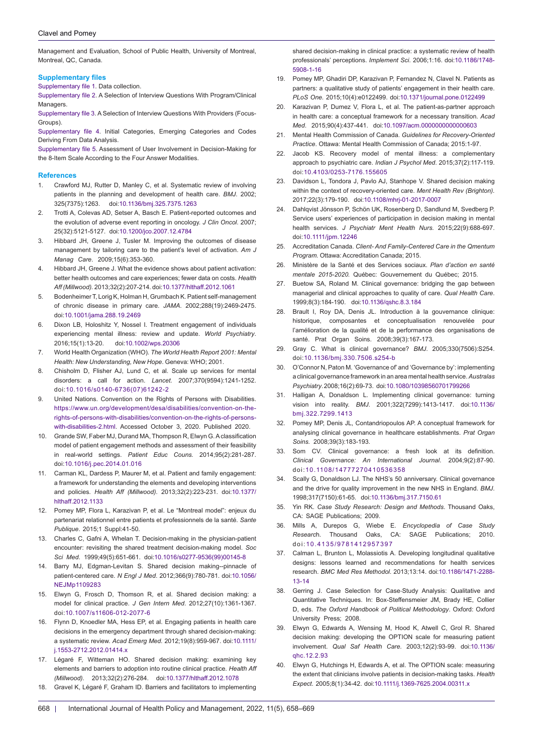#### Clavel and Pomey

Management and Evaluation, School of Public Health, University of Montreal, Montreal, QC, Canada.

#### **Supplementary files**

<span id="page-10-0"></span>[Supplementary file 1](https://www.ijhpm.com/jufile?ar_sfile=45392). Data collection.

<span id="page-10-1"></span>[Supplementary file 2.](https://www.ijhpm.com/jufile?ar_sfile=45393) A Selection of Interview Questions With Program/Clinical **Managers** 

<span id="page-10-2"></span>[Supplementary file 3.](https://www.ijhpm.com/jufile?ar_sfile=45394) A Selection of Interview Questions With Providers (Focus-Groups).

<span id="page-10-3"></span>[Supplementary file 4.](https://www.ijhpm.com/jufile?ar_sfile=45395 ) Initial Categories, Emerging Categories and Codes Deriving From Data Analysis.

<span id="page-10-4"></span>[Supplementary file 5.](https://www.ijhpm.com/jufile?ar_sfile=45396) Assessment of User Involvement in Decision-Making for the 8-Item Scale According to the Four Answer Modalities.

#### **References**

- 1. Crawford MJ, Rutter D, Manley C, et al. Systematic review of involving patients in the planning and development of health care. *BMJ*. 2002; 325(7375):1263. doi[:10.1136/bmj.325.7375.1263](https://doi.org/10.1136/bmj.325.7375.1263)
- 2. Trotti A, Colevas AD, Setser A, Basch E. Patient-reported outcomes and the evolution of adverse event reporting in oncology. *J Clin Oncol*. 2007; 25(32):5121-5127. doi[:10.1200/jco.2007.12.4784](https://doi.org/10.1200/jco.2007.12.4784)
- 3. Hibbard JH, Greene J, Tusler M. Improving the outcomes of disease management by tailoring care to the patient's level of activation. *Am J Manag Care*. 2009;15(6):353-360.
- 4. Hibbard JH, Greene J. What the evidence shows about patient activation: better health outcomes and care experiences; fewer data on costs. *Health Aff (Millwood).* 2013;32(2):207-214. doi[:10.1377/hlthaff.2012.1061](https://doi.org/10.1377/hlthaff.2012.1061)
- 5. Bodenheimer T, Lorig K, Holman H, Grumbach K. Patient self-management of chronic disease in primary care. *JAMA*. 2002;288(19):2469-2475. doi[:10.1001/jama.288.19.2469](https://doi.org/10.1001/jama.288.19.2469)
- 6. Dixon LB, Holoshitz Y, Nossel I. Treatment engagement of individuals experiencing mental illness: review and update. *World Psychiatry*. 2016;15(1):13-20. doi:[10.1002/wps.20306](https://doi.org/10.1002/wps.20306)
- 7. World Health Organization (WHO). *The World Health Report 2001: Mental Health: New Understanding, New Hope*. Geneva: WHO; 2001.
- 8. Chisholm D, Flisher AJ, Lund C, et al. Scale up services for mental disorders: a call for action. *Lancet*. 2007;370(9594):1241-1252. doi:[10.1016/s0140-6736\(07\)61242-2](https://doi.org/10.1016/s0140-6736(07)61242-2)
- 9. United Nations. Convention on the Rights of Persons with Disabilities. [https://www.un.org/development/desa/disabilities/convention-on-the](https://www.un.org/development/desa/disabilities/convention-on-the-rights-of-persons-with-disabilities/convention-on-the-rights-of-persons-with-disabilities-2.html)[rights-of-persons-with-disabilities/convention-on-the-rights-of-persons](https://www.un.org/development/desa/disabilities/convention-on-the-rights-of-persons-with-disabilities/convention-on-the-rights-of-persons-with-disabilities-2.html)[with-disabilities-2.html.](https://www.un.org/development/desa/disabilities/convention-on-the-rights-of-persons-with-disabilities/convention-on-the-rights-of-persons-with-disabilities-2.html) Accessed October 3, 2020. Published 2020.
- 10. Grande SW, Faber MJ, Durand MA, Thompson R, Elwyn G. A classification model of patient engagement methods and assessment of their feasibility in real-world settings. *Patient Educ Couns.* 2014;95(2):281-287. doi[:10.1016/j.pec.2014.01.016](https://doi.org/10.1016/j.pec.2014.01.016)
- 11. Carman KL, Dardess P, Maurer M, et al. Patient and family engagement: a framework for understanding the elements and developing interventions and policies. *Health Aff (Millwood)*. 2013;32(2):223-231. doi[:10.1377/](https://doi.org/10.1377/hlthaff.2012.1133) [hlthaff.2012.1133](https://doi.org/10.1377/hlthaff.2012.1133)
- 12. Pomey MP, Flora L, Karazivan P, et al. Le "Montreal model": enjeux du partenariat relationnel entre patients et professionnels de la santé. *Sante Publique*. 2015;1 Suppl:41-50.
- 13. Charles C, Gafni A, Whelan T. Decision-making in the physician-patient encounter: revisiting the shared treatment decision-making model. *Soc Sci Med*. 1999;49(5):651-661. doi[:10.1016/s0277-9536\(99\)00145-8](https://doi.org/10.1016/s0277-9536(99)00145-8)
- 14. Barry MJ, Edgman-Levitan S. Shared decision making--pinnacle of patient-centered care. *N Engl J Med*. 2012;366(9):780-781. doi[:10.1056/](https://doi.org/10.1056/NEJMp1109283) [NEJMp1109283](https://doi.org/10.1056/NEJMp1109283)
- 15. Elwyn G, Frosch D, Thomson R, et al. Shared decision making: a model for clinical practice. *J Gen Intern Med*. 2012;27(10):1361-1367. doi:[10.1007/s11606-012-2077-6](https://doi.org/10.1007/s11606-012-2077-6)
- 16. Flynn D, Knoedler MA, Hess EP, et al. Engaging patients in health care decisions in the emergency department through shared decision-making: a systematic review. *Acad Emerg Med.* 2012;19(8):959-967. doi:[10.1111/](https://doi.org/10.1111/j.1553-2712.2012.01414.x) [j.1553-2712.2012.01414.x](https://doi.org/10.1111/j.1553-2712.2012.01414.x)
- 17. Légaré F, Witteman HO. Shared decision making: examining key elements and barriers to adoption into routine clinical practice. *Health Aff (Millwood).* 2013;32(2):276-284. doi:[10.1377/hlthaff.2012.1078](https://doi.org/10.1377/hlthaff.2012.1078)
- 18. Gravel K, Légaré F, Graham ID. Barriers and facilitators to implementing

shared decision-making in clinical practice: a systematic review of health professionals' perceptions. *Implement Sci*. 2006;1:16. doi[:10.1186/1748-](https://doi.org/10.1186/1748-5908-1-16) [5908-1-16](https://doi.org/10.1186/1748-5908-1-16)

- 19. Pomey MP, Ghadiri DP, Karazivan P, Fernandez N, Clavel N. Patients as partners: a qualitative study of patients' engagement in their health care. *PLoS One.* 2015;10(4):e0122499. doi:[10.1371/journal.pone.0122499](https://doi.org/10.1371/journal.pone.0122499)
- 20. Karazivan P, Dumez V, Flora L, et al. The patient-as-partner approach in health care: a conceptual framework for a necessary transition. *Acad Med*. 2015;90(4):437-441. doi[:10.1097/acm.0000000000000603](https://doi.org/10.1097/acm.0000000000000603)
- 21. Mental Health Commission of Canada. *Guidelines for Recovery-Oriented Practice*. Ottawa: Mental Health Commission of Canada; 2015:1-97.
- 22. Jacob KS. Recovery model of mental illness: a complementary approach to psychiatric care. *Indian J Psychol Med*. 2015;37(2):117-119. doi[:10.4103/0253-7176.155605](https://doi.org/10.4103/0253-7176.155605)
- 23. Davidson L, Tondora J, Pavlo AJ, Stanhope V. Shared decision making within the context of recovery-oriented care. *Ment Health Rev (Brighton).* 2017;22(3):179-190. doi:[10.1108/mhrj-01-2017-0007](https://doi.org/10.1108/mhrj-01-2017-0007)
- 24. Dahlqvist Jönsson P, Schön UK, Rosenberg D, Sandlund M, Svedberg P. Service users' experiences of participation in decision making in mental health services. *J Psychiatr Ment Health Nurs.* 2015;22(9):688-697. doi:[10.1111/jpm.12246](https://doi.org/10.1111/jpm.12246)
- 25. Accreditation Canada. *Client- And Family-Centered Care in the Qmentum Program.* Ottawa: Accreditation Canada; 2015.
- 26. Ministère de la Santé et des Services sociaux. *Plan d'action en santé mentale 2015-2020.* Québec: Gouvernement du Québec; 2015.
- 27. Buetow SA, Roland M. Clinical governance: bridging the gap between managerial and clinical approaches to quality of care. *Qual Health Care*. 1999;8(3):184-190. doi:[10.1136/qshc.8.3.184](https://doi.org/10.1136/qshc.8.3.184)
- 28. Brault I, Roy DA, Denis JL. Introduction à la gouvernance clinique: historique, composantes et conceptualisation renouvelée pour l'amélioration de la qualité et de la performance des organisations de santé. Prat Organ Soins. 2008;39(3):167-173.
- 29. Gray C. What is clinical governance? *BMJ*. 2005;330(7506):S254. doi:[10.1136/bmj.330.7506.s254-b](https://doi.org/10.1136/bmj.330.7506.s254-b)
- 30. O'Connor N, Paton M. 'Governance of' and 'Governance by': implementing a clinical governance framework in an area mental health service. *Australas Psychiatry*. 2008;16(2):69-73. doi:[10.1080/10398560701799266](https://doi.org/10.1080/10398560701799266)
- 31. Halligan A, Donaldson L. Implementing clinical governance: turning vision into reality. *BMJ*. 2001;322(7299):1413-1417. doi[:10.1136/](https://doi.org/10.1136/bmj.322.7299.1413) [bmj.322.7299.1413](https://doi.org/10.1136/bmj.322.7299.1413)
- 32. Pomey MP, Denis JL, Contandriopoulos AP. A conceptual framework for analysing clinical governance in healthcare establishments. *Prat Organ Soins.* 2008;39(3):183-193.
- 33. Som CV. Clinical governance: a fresh look at its definition. *Clinical Governance: An International Journal*. 2004;9(2):87-90. doi:[10.1108/14777270410536358](https://doi.org/10.1108/14777270410536358)
- 34. Scally G, Donaldson LJ. The NHS's 50 anniversary. Clinical governance and the drive for quality improvement in the new NHS in England. *BMJ*. 1998;317(7150):61-65. doi:[10.1136/bmj.317.7150.61](https://doi.org/10.1136/bmj.317.7150.61)
- 35. Yin RK. *Case Study Research: Design and Methods*. Thousand Oaks, CA: SAGE Publications; 2009.
- 36. Mills A, Durepos G, Wiebe E. *Encyclopedia of Case Study Researc*h. Thousand Oaks, CA: SAGE Publications; 2010. doi:[10.4135/9781412957397](https://doi.org/10.4135/9781412957397)
- 37. Calman L, Brunton L, Molassiotis A. Developing longitudinal qualitative designs: lessons learned and recommendations for health services research. *BMC Med Res Methodol*. 2013;13:14. doi[:10.1186/1471-2288-](https://doi.org/10.1186/1471-2288-13-14) [13-14](https://doi.org/10.1186/1471-2288-13-14)
- 38. Gerring J. Case Selection for Case‐Study Analysis: Qualitative and Quantitative Techniques. In: Box-Steffensmeier JM, Brady HE, Collier D, eds. *The Oxford Handbook of Political Methodology*. Oxford: Oxford University Press; 2008.
- 39. Elwyn G, Edwards A, Wensing M, Hood K, Atwell C, Grol R. Shared decision making: developing the OPTION scale for measuring patient involvement. *Qual Saf Health Care.* 2003;12(2):93-99. doi[:10.1136/](https://doi.org/10.1136/qhc.12.2.93) [qhc.12.2.93](https://doi.org/10.1136/qhc.12.2.93)
- 40. Elwyn G, Hutchings H, Edwards A, et al. The OPTION scale: measuring the extent that clinicians involve patients in decision-making tasks. *Health Expect*. 2005;8(1):34-42. doi[:10.1111/j.1369-7625.2004.00311.x](https://doi.org/10.1111/j.1369-7625.2004.00311.x)